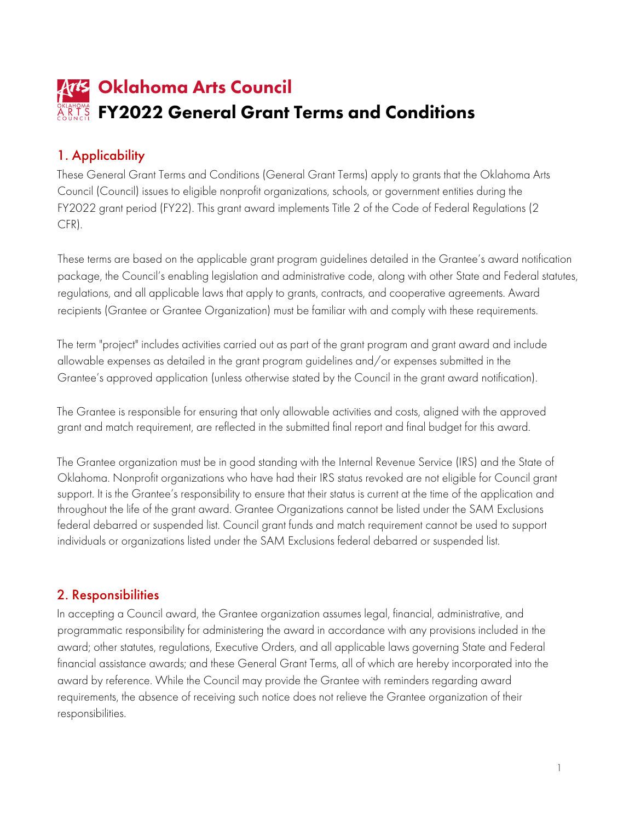# **Arts** Oklahoma Arts Council ARKANSA **FY2022 General Grant Terms and Conditions**

# 1. Applicability

 Council (Council) issues to eligible nonprofit organizations, schools, or government entities during the FY2022 grant period (FY22). This grant award implements Title 2 of the Code of Federal Regulations (2 These General Grant Terms and Conditions (General Grant Terms) apply to grants that the Oklahoma Arts CFR).

 These terms are based on the applicable grant program guidelines detailed in the Grantee's award notification recipients (Grantee or Grantee Organization) must be familiar with and comply with these requirements. package, the Council's enabling legislation and administrative code, along with other State and Federal statutes, regulations, and all applicable laws that apply to grants, contracts, and cooperative agreements. Award

 allowable expenses as detailed in the grant program guidelines and/or expenses submitted in the The term "project" includes activities carried out as part of the grant program and grant award and include Grantee's approved application (unless otherwise stated by the Council in the grant award notification).

 grant and match requirement, are reflected in the submitted final report and final budget for this award. The Grantee is responsible for ensuring that only allowable activities and costs, aligned with the approved

The Grantee organization must be in good standing with the Internal Revenue Service (IRS) and the State of Oklahoma. Nonprofit organizations who have had their IRS status revoked are not eligible for Council grant support. It is the Grantee's responsibility to ensure that their status is current at the time of the application and throughout the life of the grant award. Grantee Organizations cannot be listed under the SAM Exclusions federal debarred or suspended list. Council grant funds and match requirement cannot be used to support individuals or organizations listed under the SAM Exclusions federal debarred or suspended list.

# 2. Responsibilities

 requirements, the absence of receiving such notice does not relieve the Grantee organization of their In accepting a Council award, the Grantee organization assumes legal, financial, administrative, and programmatic responsibility for administering the award in accordance with any provisions included in the award; other statutes, regulations, Executive Orders, and all applicable laws governing State and Federal financial assistance awards; and these General Grant Terms, all of which are hereby incorporated into the award by reference. While the Council may provide the Grantee with reminders regarding award responsibilities.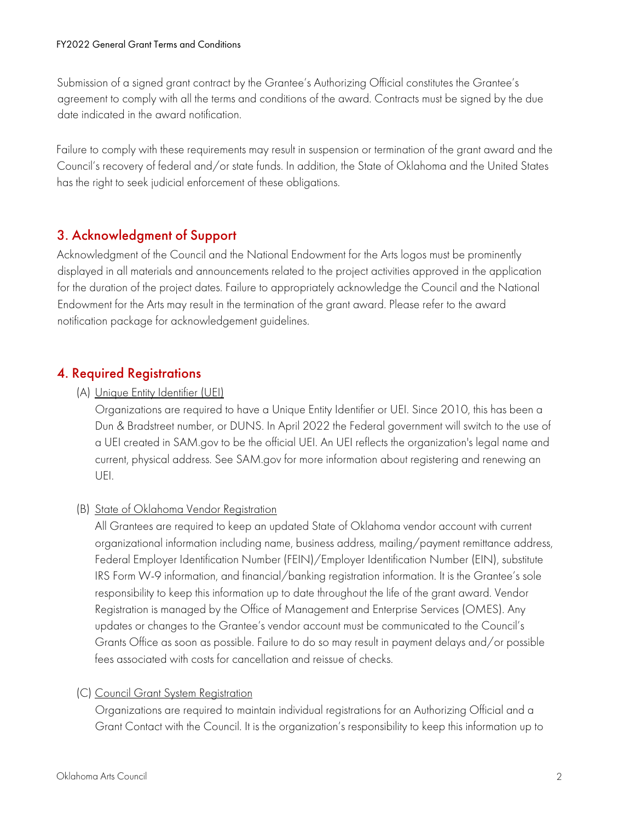Submission of a signed grant contract by the Grantee's Authorizing Official constitutes the Grantee's agreement to comply with all the terms and conditions of the award. Contracts must be signed by the due date indicated in the award notification.

Failure to comply with these requirements may result in suspension or termination of the grant award and the Council's recovery of federal and/or state funds. In addition, the State of Oklahoma and the United States has the right to seek judicial enforcement of these obligations.

# 3. Acknowledgment of Support

 Endowment for the Arts may result in the termination of the grant award. Please refer to the award Acknowledgment of the Council and the National Endowment for the Arts logos must be prominently displayed in all materials and announcements related to the project activities approved in the application for the duration of the project dates. Failure to appropriately acknowledge the Council and the National notification package for acknowledgement guidelines.

# 4. Required Registrations

#### (A) Unique Entity Identifier (UEI)

Organizations are required to have a Unique Entity Identifier or UEI. Since 2010, this has been a Dun & Bradstreet number, or DUNS. In April 2022 the Federal government will switch to the use of a UEI created in SAM.gov to be the official UEI. An UEI reflects the organization's legal name and current, physical address. See SAM.gov for more information about registering and renewing an UEI.

#### (B) State of Oklahoma Vendor Registration

All Grantees are required to keep an updated State of Oklahoma vendor account with current organizational information including name, business address, mailing/payment remittance address, Federal Employer Identification Number (FEIN)/Employer Identification Number (EIN), substitute IRS Form W-9 information, and financial/banking registration information. It is the Grantee's sole responsibility to keep this information up to date throughout the life of the grant award. Vendor Registration is managed by the Office of Management and Enterprise Services (OMES). Any updates or changes to the Grantee's vendor account must be communicated to the Council's Grants Office as soon as possible. Failure to do so may result in payment delays and/or possible fees associated with costs for cancellation and reissue of checks.

#### (C) Council Grant System Registration

Organizations are required to maintain individual registrations for an Authorizing Official and a Grant Contact with the Council. It is the organization's responsibility to keep this information up to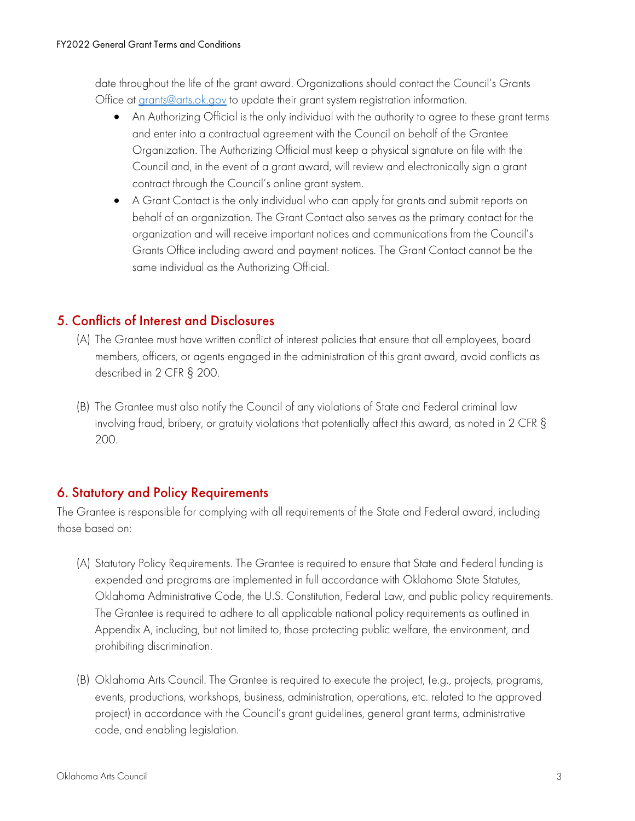date throughout the life of the grant award. Organizations should contact the Council's Grants Office at [grants@arts.ok.gov](mailto:grants@arts.ok.gov) to update their grant system registration information.

- An Authorizing Official is the only individual with the authority to agree to these grant terms and enter into a contractual agreement with the Council on behalf of the Grantee Organization. The Authorizing Official must keep a physical signature on file with the Council and, in the event of a grant award, will review and electronically sign a grant contract through the Council's online grant system.
- A Grant Contact is the only individual who can apply for grants and submit reports on behalf of an organization. The Grant Contact also serves as the primary contact for the organization and will receive important notices and communications from the Council's Grants Office including award and payment notices. The Grant Contact cannot be the same individual as the Authorizing Official.

# 5. Conflicts of Interest and Disclosures

- (A) The Grantee must have written conflict of interest policies that ensure that all employees, board members, officers, or agents engaged in the administration of this grant award, avoid conflicts as described in 2 CFR § 200.
- (B) The Grantee must also notify the Council of any violations of State and Federal criminal law involving fraud, bribery, or gratuity violations that potentially affect this award, as noted in 2 CFR § 200.

# 6. Statutory and Policy Requirements

 The Grantee is responsible for complying with all requirements of the State and Federal award, including those based on:

- (A) Statutory Policy Requirements. The Grantee is required to ensure that State and Federal funding is expended and programs are implemented in full accordance with Oklahoma State Statutes, Oklahoma Administrative Code, the U.S. Constitution, Federal Law, and public policy requirements. The Grantee is required to adhere to all applicable national policy requirements as outlined in Appendix A, including, but not limited to, those protecting public welfare, the environment, and prohibiting discrimination.
- code, and enabling legislation. (B) Oklahoma Arts Council. The Grantee is required to execute the project, (e.g., projects, programs, events, productions, workshops, business, administration, operations, etc. related to the approved project) in accordance with the Council's grant guidelines, general grant terms, administrative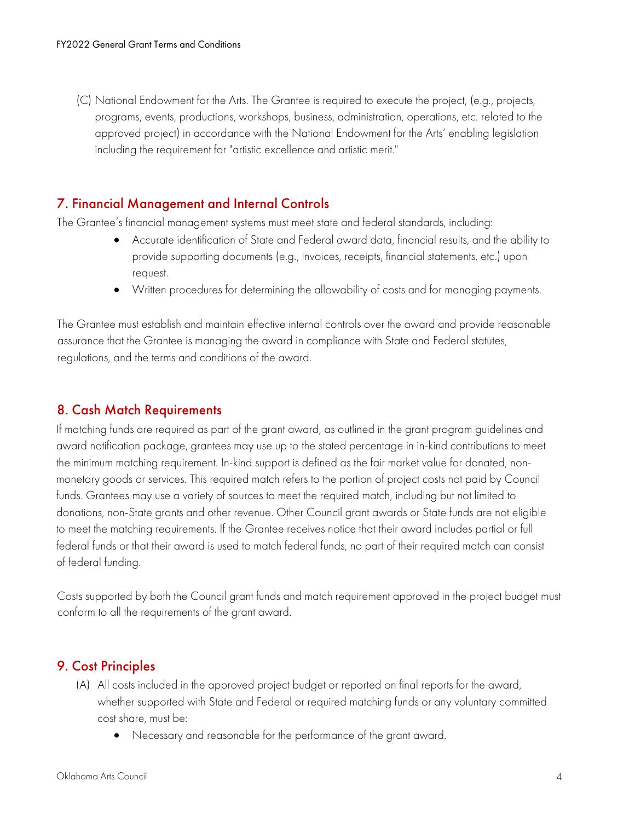(C) National Endowment for the Arts. The Grantee is required to execute the project, (e.g., projects, programs, events, productions, workshops, business, administration, operations, etc. related to the approved project) in accordance with the National Endowment for the Arts' enabling legislation including the requirement for "artistic excellence and artistic merit."

#### 7. Financial Management and Internal Controls

The Grantee's financial management systems must meet state and federal standards, including:

- Accurate identification of State and Federal award data, financial results, and the ability to provide supporting documents (e.g., invoices, receipts, financial statements, etc.) upon request.
- Written procedures for determining the allowability of costs and for managing payments.

 assurance that the Grantee is managing the award in compliance with State and Federal statutes, The Grantee must establish and maintain effective internal controls over the award and provide reasonable regulations, and the terms and conditions of the award.

#### 8. Cash Match Requirements

 award notification package, grantees may use up to the stated percentage in in-kind contributions to meet If matching funds are required as part of the grant award, as outlined in the grant program guidelines and the minimum matching requirement. In-kind support is defined as the fair market value for donated, nonmonetary goods or services. This required match refers to the portion of project costs not paid by Council funds. Grantees may use a variety of sources to meet the required match, including but not limited to donations, non-State grants and other revenue. Other Council grant awards or State funds are not eligible to meet the matching requirements. If the Grantee receives notice that their award includes partial or full federal funds or that their award is used to match federal funds, no part of their required match can consist of federal funding.

 Costs supported by both the Council grant funds and match requirement approved in the project budget must conform to all the requirements of the grant award.

#### 9. Cost Principles

- (A) All costs included in the approved project budget or reported on final reports for the award, whether supported with State and Federal or required matching funds or any voluntary committed cost share, must be:
	- Necessary and reasonable for the performance of the grant award.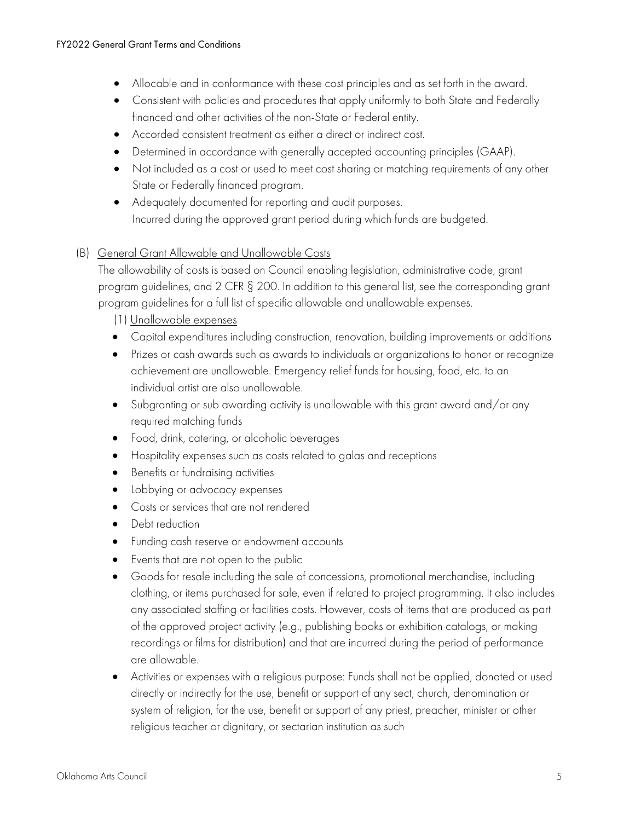- Allocable and in conformance with these cost principles and as set forth in the award.
- Consistent with policies and procedures that apply uniformly to both State and Federally financed and other activities of the non-State or Federal entity.
- Accorded consistent treatment as either a direct or indirect cost.
- Determined in accordance with generally accepted accounting principles (GAAP).
- State or Federally financed program. • Not included as a cost or used to meet cost sharing or matching requirements of any other
- Adequately documented for reporting and audit purposes. Incurred during the approved grant period during which funds are budgeted.

#### (B) General Grant Allowable and Unallowable Costs

The allowability of costs is based on Council enabling legislation, administrative code, grant program guidelines, and 2 CFR § 200. In addition to this general list, see the corresponding grant program guidelines for a full list of specific allowable and unallowable expenses.

(1) Unallowable expenses

- Capital expenditures including construction, renovation, building improvements or additions
- Prizes or cash awards such as awards to individuals or organizations to honor or recognize achievement are unallowable. Emergency relief funds for housing, food, etc. to an individual artist are also unallowable.
- Subgranting or sub awarding activity is unallowable with this grant award and/or any required matching funds
- Food, drink, catering, or alcoholic beverages
- Hospitality expenses such as costs related to galas and receptions
- Benefits or fundraising activities
- Lobbying or advocacy expenses
- Costs or services that are not rendered
- Debt reduction
- Funding cash reserve or endowment accounts
- Events that are not open to the public
- Goods for resale including the sale of concessions, promotional merchandise, including clothing, or items purchased for sale, even if related to project programming. It also includes any associated staffing or facilities costs. However, costs of items that are produced as part of the approved project activity (e.g., publishing books or exhibition catalogs, or making recordings or films for distribution) and that are incurred during the period of performance are allowable.
- Activities or expenses with a religious purpose: Funds shall not be applied, donated or used directly or indirectly for the use, benefit or support of any sect, church, denomination or system of religion, for the use, benefit or support of any priest, preacher, minister or other religious teacher or dignitary, or sectarian institution as such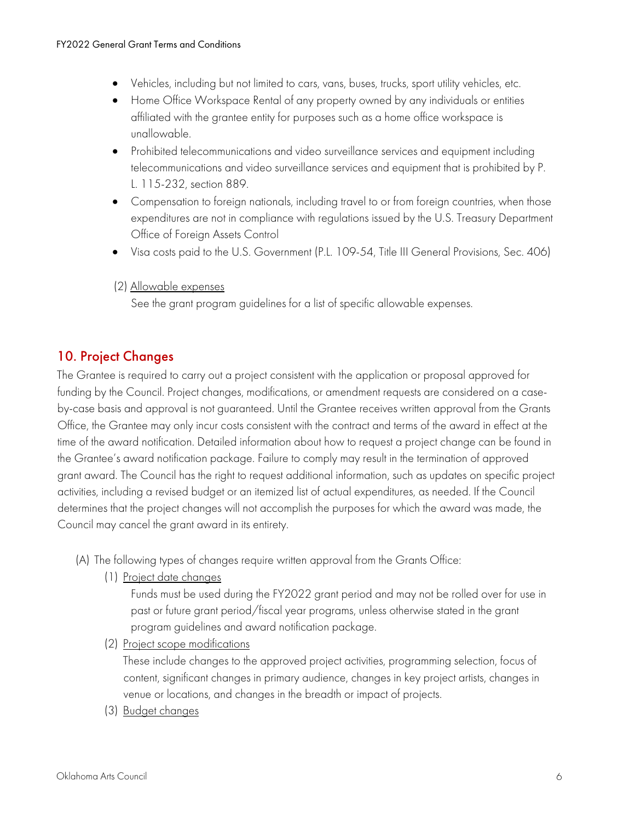- Vehicles, including but not limited to cars, vans, buses, trucks, sport utility vehicles, etc.
- Home Office Workspace Rental of any property owned by any individuals or entities affiliated with the grantee entity for purposes such as a home office workspace is unallowable.
- Prohibited telecommunications and video surveillance services and equipment including telecommunications and video surveillance services and equipment that is prohibited by P. L. 115-232, section 889.
- Office of Foreign Assets Control • Compensation to foreign nationals, including travel to or from foreign countries, when those expenditures are not in compliance with regulations issued by the U.S. Treasury Department
- Visa costs paid to the U.S. Government (P.L. 109-54, Title III General Provisions, Sec. 406)
- (2) Allowable expenses

See the grant program guidelines for a list of specific allowable expenses.

# 10. Project Changes

 by-case basis and approval is not guaranteed. Until the Grantee receives written approval from the Grants Office, the Grantee may only incur costs consistent with the contract and terms of the award in effect at the grant award. The Council has the right to request additional information, such as updates on specific project The Grantee is required to carry out a project consistent with the application or proposal approved for funding by the Council. Project changes, modifications, or amendment requests are considered on a casetime of the award notification. Detailed information about how to request a project change can be found in the Grantee's award notification package. Failure to comply may result in the termination of approved activities, including a revised budget or an itemized list of actual expenditures, as needed. If the Council determines that the project changes will not accomplish the purposes for which the award was made, the Council may cancel the grant award in its entirety.

- (A) The following types of changes require written approval from the Grants Office:
	- (1) Project date changes

 Funds must be used during the FY2022 grant period and may not be rolled over for use in past or future grant period/fiscal year programs, unless otherwise stated in the grant program guidelines and award notification package.

(2) Project scope modifications

These include changes to the approved project activities, programming selection, focus of content, significant changes in primary audience, changes in key project artists, changes in venue or locations, and changes in the breadth or impact of projects.

(3) Budget changes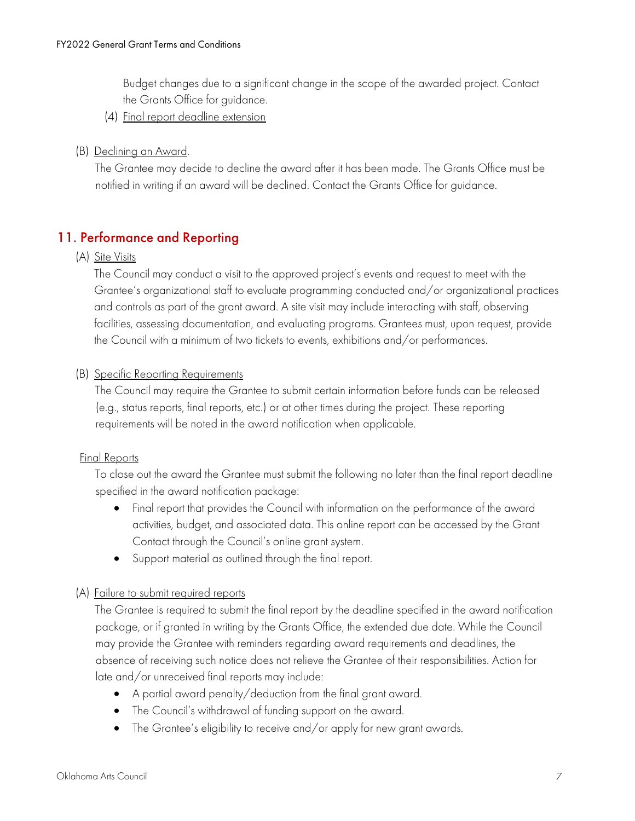the Grants Office for guidance. Budget changes due to a significant change in the scope of the awarded project. Contact

(4) Final report deadline extension

#### (B) Declining an Award.

The Grantee may decide to decline the award after it has been made. The Grants Office must be notified in writing if an award will be declined. Contact the Grants Office for guidance.

# 11. Performance and Reporting

#### (A) Site Visits

 Grantee's organizational staff to evaluate programming conducted and/or organizational practices The Council may conduct a visit to the approved project's events and request to meet with the and controls as part of the grant award. A site visit may include interacting with staff, observing facilities, assessing documentation, and evaluating programs. Grantees must, upon request, provide the Council with a minimum of two tickets to events, exhibitions and/or performances.

#### (B) Specific Reporting Requirements

 requirements will be noted in the award notification when applicable. The Council may require the Grantee to submit certain information before funds can be released (e.g., status reports, final reports, etc.) or at other times during the project. These reporting

#### Final Reports

To close out the award the Grantee must submit the following no later than the final report deadline specified in the award notification package:

- Final report that provides the Council with information on the performance of the award activities, budget, and associated data. This online report can be accessed by the Grant Contact through the Council's online grant system.
- Support material as outlined through the final report.

#### (A) Failure to submit required reports

The Grantee is required to submit the final report by the deadline specified in the award notification package, or if granted in writing by the Grants Office, the extended due date. While the Council may provide the Grantee with reminders regarding award requirements and deadlines, the absence of receiving such notice does not relieve the Grantee of their responsibilities. Action for late and/or unreceived final reports may include:

- A partial award penalty/deduction from the final grant award.
- The Council's withdrawal of funding support on the award.
- The Grantee's eligibility to receive and/or apply for new grant awards.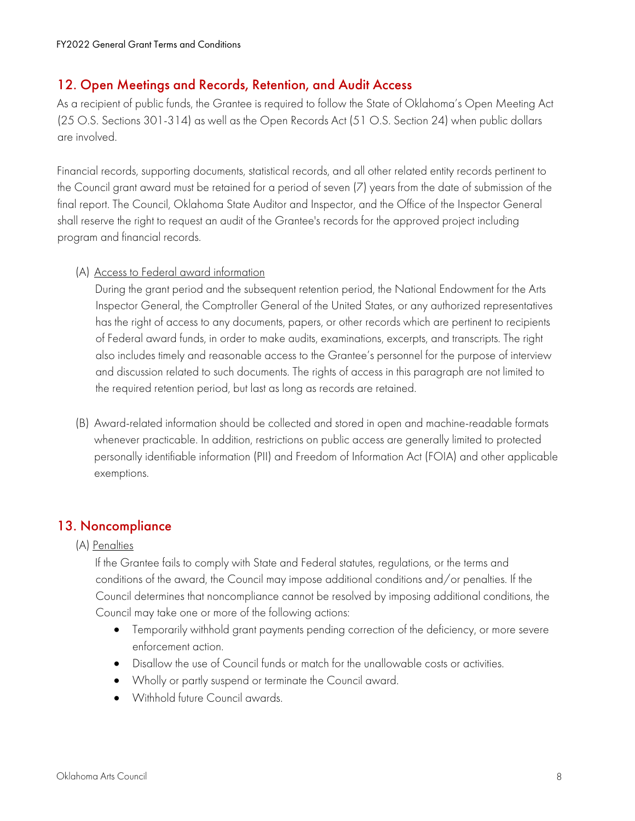#### 12. Open Meetings and Records, Retention, and Audit Access

As a recipient of public funds, the Grantee is required to follow the State of Oklahoma's Open Meeting Act (25 O.S. Sections 301-314) as well as the Open Records Act (51 O.S. Section 24) when public dollars are involved.

Financial records, supporting documents, statistical records, and all other related entity records pertinent to the Council grant award must be retained for a period of seven (7) years from the date of submission of the final report. The Council, Oklahoma State Auditor and Inspector, and the Office of the Inspector General shall reserve the right to request an audit of the Grantee's records for the approved project including program and financial records.

#### (A) Access to Federal award information

During the grant period and the subsequent retention period, the National Endowment for the Arts Inspector General, the Comptroller General of the United States, or any authorized representatives has the right of access to any documents, papers, or other records which are pertinent to recipients of Federal award funds, in order to make audits, examinations, excerpts, and transcripts. The right also includes timely and reasonable access to the Grantee's personnel for the purpose of interview and discussion related to such documents. The rights of access in this paragraph are not limited to the required retention period, but last as long as records are retained.

(B) Award-related information should be collected and stored in open and machine-readable formats whenever practicable. In addition, restrictions on public access are generally limited to protected personally identifiable information (PII) and Freedom of Information Act (FOIA) and other applicable exemptions.

# 13. Noncompliance

#### (A) <u>Penalties</u>

 Council determines that noncompliance cannot be resolved by imposing additional conditions, the If the Grantee fails to comply with State and Federal statutes, regulations, or the terms and conditions of the award, the Council may impose additional conditions and/or penalties. If the Council may take one or more of the following actions:

- Temporarily withhold grant payments pending correction of the deficiency, or more severe enforcement action.
- Disallow the use of Council funds or match for the unallowable costs or activities.
- Wholly or partly suspend or terminate the Council award.
- Withhold future Council awards.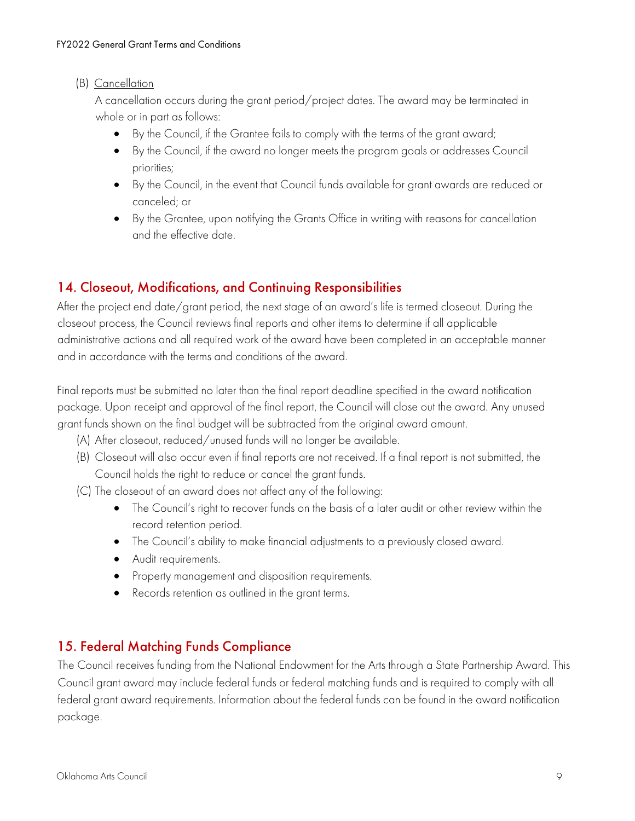#### (B) Cancellation

A cancellation occurs during the grant period/project dates. The award may be terminated in whole or in part as follows:

- By the Council, if the Grantee fails to comply with the terms of the grant award;
- By the Council, if the award no longer meets the program goals or addresses Council priorities;
- By the Council, in the event that Council funds available for grant awards are reduced or canceled; or
- • By the Grantee, upon notifying the Grants Office in writing with reasons for cancellation and the effective date.

# 14. Closeout, Modifications, and Continuing Responsibilities

After the project end date/grant period, the next stage of an award's life is termed closeout. During the closeout process, the Council reviews final reports and other items to determine if all applicable administrative actions and all required work of the award have been completed in an acceptable manner and in accordance with the terms and conditions of the award.

Final reports must be submitted no later than the final report deadline specified in the award notification package. Upon receipt and approval of the final report, the Council will close out the award. Any unused grant funds shown on the final budget will be subtracted from the original award amount.

- (A) After closeout, reduced/unused funds will no longer be available.
- (B) Closeout will also occur even if final reports are not received. If a final report is not submitted, the Council holds the right to reduce or cancel the grant funds.
- (C) The closeout of an award does not affect any of the following:
	- The Council's right to recover funds on the basis of a later audit or other review within the record retention period.
	- The Council's ability to make financial adjustments to a previously closed award.
	- Audit requirements.
	- Property management and disposition requirements.
	- Records retention as outlined in the grant terms.

# 15. Federal Matching Funds Compliance

The Council receives funding from the National Endowment for the Arts through a State Partnership Award. This Council grant award may include federal funds or federal matching funds and is required to comply with all federal grant award requirements. Information about the federal funds can be found in the award notification package.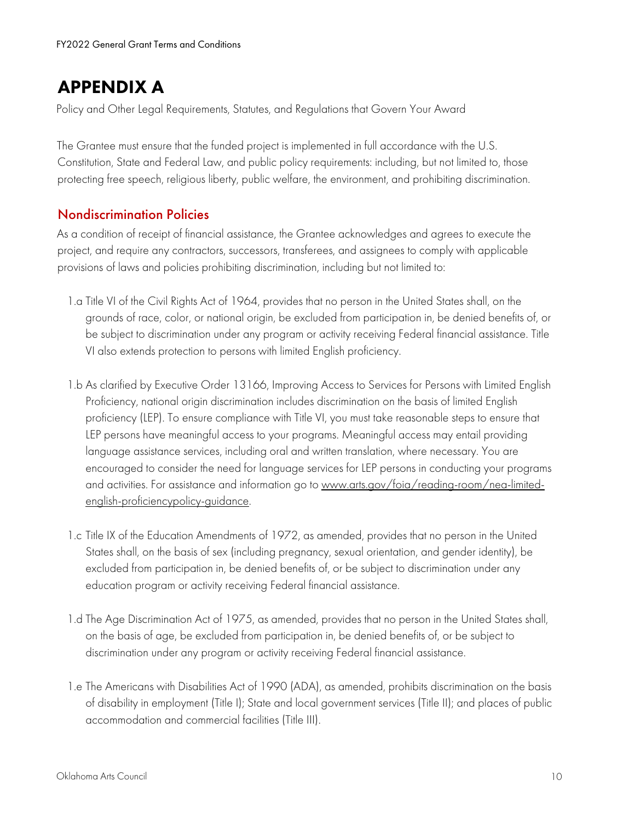# APPENDIX A

Policy and Other Legal Requirements, Statutes, and Regulations that Govern Your Award

The Grantee must ensure that the funded project is implemented in full accordance with the U.S. Constitution, State and Federal Law, and public policy requirements: including, but not limited to, those protecting free speech, religious liberty, public welfare, the environment, and prohibiting discrimination.

# Nondiscrimination Policies

 As a condition of receipt of financial assistance, the Grantee acknowledges and agrees to execute the project, and require any contractors, successors, transferees, and assignees to comply with applicable provisions of laws and policies prohibiting discrimination, including but not limited to:

- 1.a Title VI of the Civil Rights Act of 1964, provides that no person in the United States shall, on the grounds of race, color, or national origin, be excluded from participation in, be denied benefits of, or be subject to discrimination under any program or activity receiving Federal financial assistance. Title VI also extends protection to persons with limited English proficiency.
- 1.b As clarified by Executive Order 13166, Improving Access to Services for Persons with Limited English Proficiency, national origin discrimination includes discrimination on the basis of limited English proficiency (LEP). To ensure compliance with Title VI, you must take reasonable steps to ensure that LEP persons have meaningful access to your programs. Meaningful access may entail providing language assistance services, including oral and written translation, where necessary. You are encouraged to consider the need for language services for LEP persons in conducting your programs and activities. For assistance and information go to<www.arts.gov/foia/reading-room/nea-limited>english-proficiencypolicy-guidance.
- 1.c Title IX of the Education Amendments of 1972, as amended, provides that no person in the United States shall, on the basis of sex (including pregnancy, sexual orientation, and gender identity), be excluded from participation in, be denied benefits of, or be subject to discrimination under any education program or activity receiving Federal financial assistance.
- 1.d The Age Discrimination Act of 1975, as amended, provides that no person in the United States shall, on the basis of age, be excluded from participation in, be denied benefits of, or be subject to discrimination under any program or activity receiving Federal financial assistance.
- 1.e The Americans with Disabilities Act of 1990 (ADA), as amended, prohibits discrimination on the basis of disability in employment (Title I); State and local government services (Title II); and places of public accommodation and commercial facilities (Title III).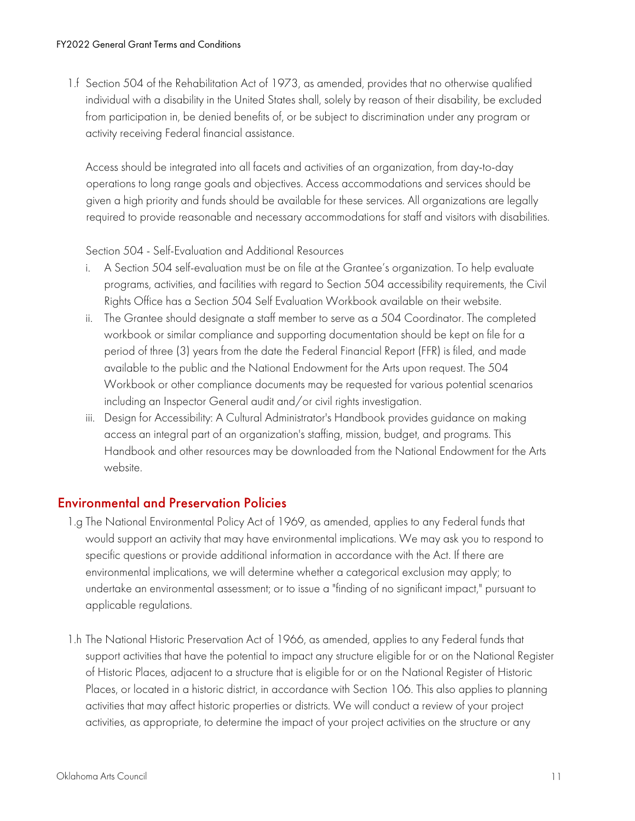1.f Section 504 of the Rehabilitation Act of 1973, as amended, provides that no otherwise qualified individual with a disability in the United States shall, solely by reason of their disability, be excluded from participation in, be denied benefits of, or be subject to discrimination under any program or activity receiving Federal financial assistance.

Access should be integrated into all facets and activities of an organization, from day-to-day operations to long range goals and objectives. Access accommodations and services should be given a high priority and funds should be available for these services. All organizations are legally required to provide reasonable and necessary accommodations for staff and visitors with disabilities.

Section 504 - Self-Evaluation and Additional Resources

- Rights Office has a Section 504 Self Evaluation Workbook available on their website. i. A Section 504 self-evaluation must be on file at the Grantee's organization. To help evaluate programs, activities, and facilities with regard to Section 504 accessibility requirements, the Civil
- ii. The Grantee should designate a staff member to serve as a 504 Coordinator. The completed workbook or similar compliance and supporting documentation should be kept on file for a period of three (3) years from the date the Federal Financial Report (FFR) is filed, and made available to the public and the National Endowment for the Arts upon request. The 504 Workbook or other compliance documents may be requested for various potential scenarios including an Inspector General audit and/or civil rights investigation.
- iii. Design for Accessibility: A Cultural Administrator's Handbook provides guidance on making access an integral part of an organization's staffing, mission, budget, and programs. This Handbook and other resources may be downloaded from the National Endowment for the Arts website.

# Environmental and Preservation Policies

- 1.g The National Environmental Policy Act of 1969, as amended, applies to any Federal funds that would support an activity that may have environmental implications. We may ask you to respond to specific questions or provide additional information in accordance with the Act. If there are environmental implications, we will determine whether a categorical exclusion may apply; to undertake an environmental assessment; or to issue a "finding of no significant impact," pursuant to applicable regulations.
- 1.h The National Historic Preservation Act of 1966, as amended, applies to any Federal funds that support activities that have the potential to impact any structure eligible for or on the National Register of Historic Places, adjacent to a structure that is eligible for or on the National Register of Historic Places, or located in a historic district, in accordance with Section 106. This also applies to planning activities that may affect historic properties or districts. We will conduct a review of your project activities, as appropriate, to determine the impact of your project activities on the structure or any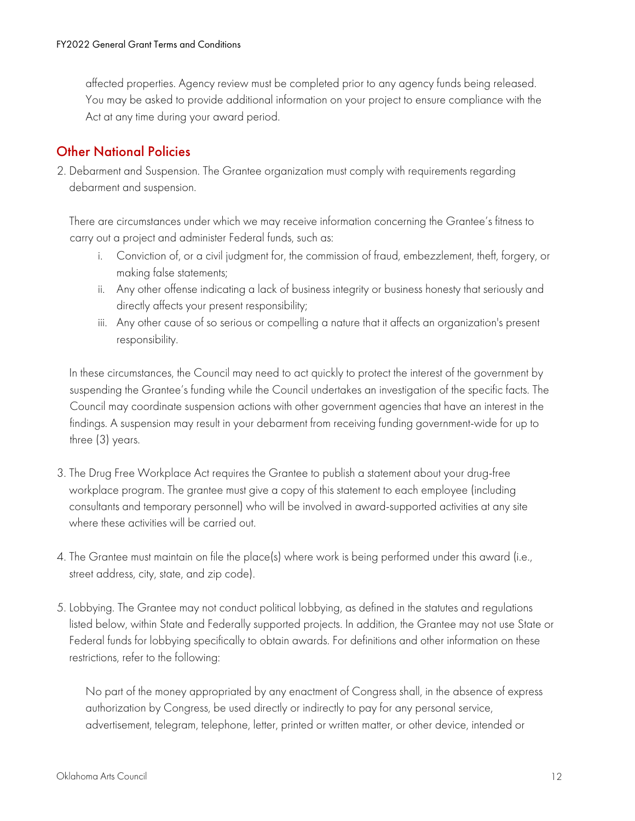affected properties. Agency review must be completed prior to any agency funds being released. You may be asked to provide additional information on your project to ensure compliance with the Act at any time during your award period.

# Other National Policies

2. Debarment and Suspension. The Grantee organization must comply with requirements regarding debarment and suspension.

There are circumstances under which we may receive information concerning the Grantee's fitness to carry out a project and administer Federal funds, such as:

- i. Conviction of, or a civil judgment for, the commission of fraud, embezzlement, theft, forgery, or making false statements;
- ii. Any other offense indicating a lack of business integrity or business honesty that seriously and directly affects your present responsibility;
- iii. Any other cause of so serious or compelling a nature that it affects an organization's present responsibility.

 suspending the Grantee's funding while the Council undertakes an investigation of the specific facts. The In these circumstances, the Council may need to act quickly to protect the interest of the government by Council may coordinate suspension actions with other government agencies that have an interest in the findings. A suspension may result in your debarment from receiving funding government-wide for up to three (3) years.

- 3. The Drug Free Workplace Act requires the Grantee to publish a statement about your drug-free workplace program. The grantee must give a copy of this statement to each employee (including consultants and temporary personnel) who will be involved in award-supported activities at any site where these activities will be carried out.
- 4. The Grantee must maintain on file the place(s) where work is being performed under this award (i.e., street address, city, state, and zip code).
- 5. Lobbying. The Grantee may not conduct political lobbying, as defined in the statutes and regulations listed below, within State and Federally supported projects. In addition, the Grantee may not use State or Federal funds for lobbying specifically to obtain awards. For definitions and other information on these restrictions, refer to the following:

No part of the money appropriated by any enactment of Congress shall, in the absence of express authorization by Congress, be used directly or indirectly to pay for any personal service, advertisement, telegram, telephone, letter, printed or written matter, or other device, intended or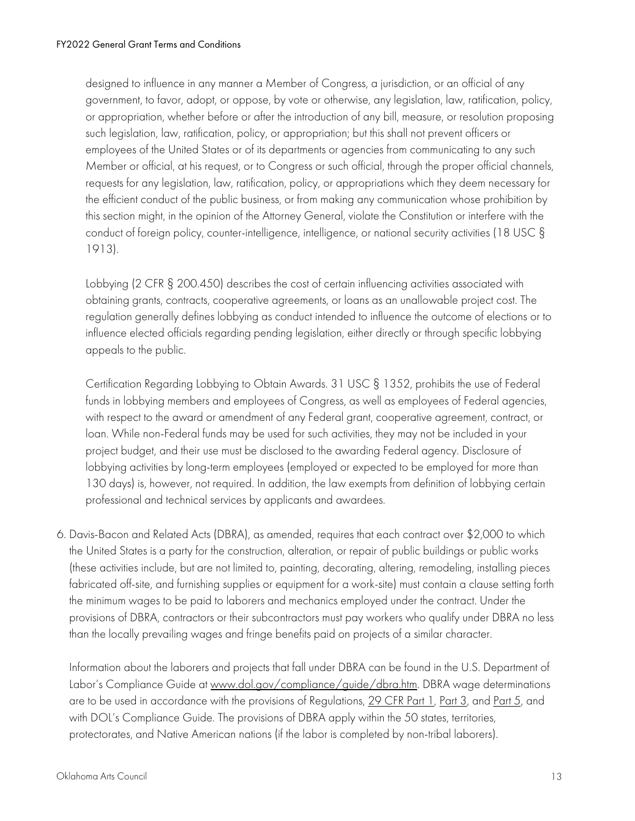designed to influence in any manner a Member of Congress, a jurisdiction, or an official of any government, to favor, adopt, or oppose, by vote or otherwise, any legislation, law, ratification, policy, or appropriation, whether before or after the introduction of any bill, measure, or resolution proposing such legislation, law, ratification, policy, or appropriation; but this shall not prevent officers or employees of the United States or of its departments or agencies from communicating to any such Member or official, at his request, or to Congress or such official, through the proper official channels, requests for any legislation, law, ratification, policy, or appropriations which they deem necessary for the efficient conduct of the public business, or from making any communication whose prohibition by this section might, in the opinion of the Attorney General, violate the Constitution or interfere with the conduct of foreign policy, counter-intelligence, intelligence, or national security activities (18 USC § 1913).

Lobbying (2 CFR § 200.450) describes the cost of certain influencing activities associated with obtaining grants, contracts, cooperative agreements, or loans as an unallowable project cost. The regulation generally defines lobbying as conduct intended to influence the outcome of elections or to influence elected officials regarding pending legislation, either directly or through specific lobbying appeals to the public.

Certification Regarding Lobbying to Obtain Awards. 31 USC § 1352, prohibits the use of Federal funds in lobbying members and employees of Congress, as well as employees of Federal agencies, with respect to the award or amendment of any Federal grant, cooperative agreement, contract, or loan. While non-Federal funds may be used for such activities, they may not be included in your project budget, and their use must be disclosed to the awarding Federal agency. Disclosure of lobbying activities by long-term employees (employed or expected to be employed for more than 130 days) is, however, not required. In addition, the law exempts from definition of lobbying certain professional and technical services by applicants and awardees.

6. Davis-Bacon and Related Acts (DBRA), as amended, requires that each contract over \$2,000 to which the United States is a party for the construction, alteration, or repair of public buildings or public works (these activities include, but are not limited to, painting, decorating, altering, remodeling, installing pieces fabricated off-site, and furnishing supplies or equipment for a work-site) must contain a clause setting forth the minimum wages to be paid to laborers and mechanics employed under the contract. Under the provisions of DBRA, contractors or their subcontractors must pay workers who qualify under DBRA no less than the locally prevailing wages and fringe benefits paid on projects of a similar character.

are to be used in accordance with the provisions of Regulations, 29 CFR Part 1, Part 3, and <u>Part 5</u>, and Information about the laborers and projects that fall under DBRA can be found in the U.S. Department of Labor's Compliance Guide at<www.dol.gov/compliance/guide/dbra.htm>. DBRA wage determinations with DOL's Compliance Guide. The provisions of DBRA apply within the 50 states, territories, protectorates, and Native American nations (if the labor is completed by non-tribal laborers).